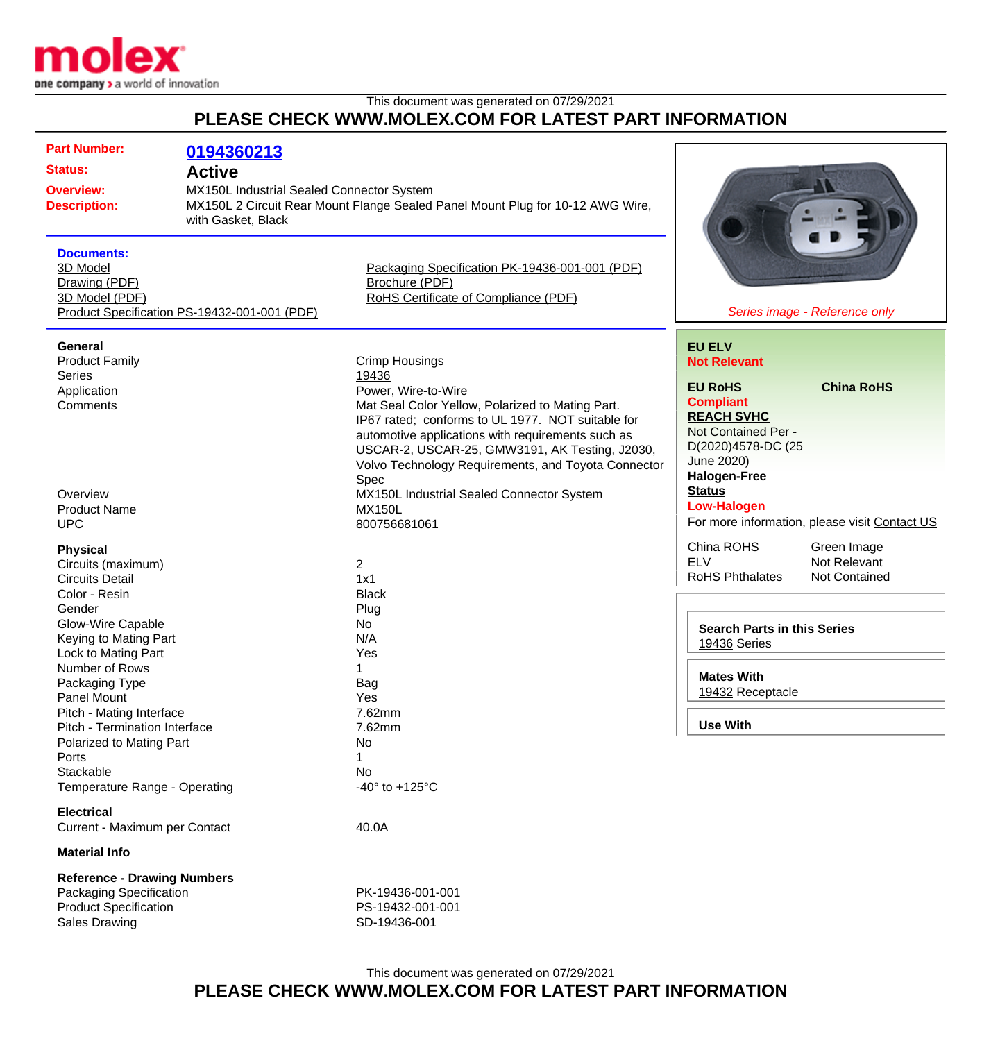

This document was generated on 07/29/2021

## **PLEASE CHECK WWW.MOLEX.COM FOR LATEST PART INFORMATION**

| <b>Part Number:</b><br>0194360213<br><b>Status:</b><br><b>Active</b><br>MX150L Industrial Sealed Connector System<br><b>Overview:</b><br><b>Description:</b><br>with Gasket, Black |                                                                                                                                                                                                                                                                       | MX150L 2 Circuit Rear Mount Flange Sealed Panel Mount Plug for 10-12 AWG Wire,                                                                                                                                                                          |                                                                                                                                                        |                                      |
|------------------------------------------------------------------------------------------------------------------------------------------------------------------------------------|-----------------------------------------------------------------------------------------------------------------------------------------------------------------------------------------------------------------------------------------------------------------------|---------------------------------------------------------------------------------------------------------------------------------------------------------------------------------------------------------------------------------------------------------|--------------------------------------------------------------------------------------------------------------------------------------------------------|--------------------------------------|
| <b>Documents:</b><br>3D Model<br>Drawing (PDF)<br>3D Model (PDF)                                                                                                                   | Product Specification PS-19432-001-001 (PDF)                                                                                                                                                                                                                          | Packaging Specification PK-19436-001-001 (PDF)<br>Brochure (PDF)<br>RoHS Certificate of Compliance (PDF)                                                                                                                                                |                                                                                                                                                        | Series image - Reference only        |
| <b>General</b><br><b>Product Family</b><br>Series<br>Application<br>Comments                                                                                                       | <b>Crimp Housings</b><br>19436<br>Power, Wire-to-Wire<br>Mat Seal Color Yellow, Polarized to Mating Part.<br>IP67 rated; conforms to UL 1977. NOT suitable for<br>automotive applications with requirements such as<br>USCAR-2, USCAR-25, GMW3191, AK Testing, J2030, |                                                                                                                                                                                                                                                         | <b>EU ELV</b><br><b>Not Relevant</b><br><b>EU RoHS</b><br><b>Compliant</b><br><b>REACH SVHC</b><br>Not Contained Per -<br>D(2020)4578-DC (25           | <b>China RoHS</b>                    |
| Overview<br><b>Product Name</b><br><b>UPC</b><br><b>Physical</b>                                                                                                                   |                                                                                                                                                                                                                                                                       | Volvo Technology Requirements, and Toyota Connector<br>Spec<br><b>MX150L Industrial Sealed Connector System</b><br><b>MX150L</b><br>800756681061<br>$\overline{2}$<br>1x1<br><b>Black</b><br>Plug<br>No<br>N/A<br>Yes<br>Bag<br>Yes<br>7.62mm<br>7.62mm | June 2020)<br><b>Halogen-Free</b><br><b>Status</b><br><b>Low-Halogen</b><br>For more information, please visit Contact US<br>China ROHS<br>Green Image |                                      |
| Circuits (maximum)<br><b>Circuits Detail</b><br>Color - Resin<br>Gender<br><b>Glow-Wire Capable</b><br>Keying to Mating Part                                                       |                                                                                                                                                                                                                                                                       |                                                                                                                                                                                                                                                         | <b>ELV</b><br><b>RoHS Phthalates</b><br><b>Search Parts in this Series</b><br>19436 Series                                                             | Not Relevant<br><b>Not Contained</b> |
| Lock to Mating Part<br>Number of Rows<br>Packaging Type<br>Panel Mount<br>Pitch - Mating Interface<br>Pitch - Termination Interface                                                |                                                                                                                                                                                                                                                                       |                                                                                                                                                                                                                                                         | <b>Mates With</b><br>19432 Receptacle<br><b>Use With</b>                                                                                               |                                      |
| Polarized to Mating Part<br>Ports<br>Stackable<br>Temperature Range - Operating<br><b>Electrical</b>                                                                               |                                                                                                                                                                                                                                                                       | No<br>1<br>No<br>-40 $\degree$ to +125 $\degree$ C                                                                                                                                                                                                      |                                                                                                                                                        |                                      |
| Current - Maximum per Contact<br><b>Material Info</b>                                                                                                                              |                                                                                                                                                                                                                                                                       | 40.0A                                                                                                                                                                                                                                                   |                                                                                                                                                        |                                      |
| <b>Reference - Drawing Numbers</b><br>Packaging Specification<br><b>Product Specification</b><br><b>Sales Drawing</b>                                                              |                                                                                                                                                                                                                                                                       | PK-19436-001-001<br>PS-19432-001-001<br>SD-19436-001                                                                                                                                                                                                    |                                                                                                                                                        |                                      |